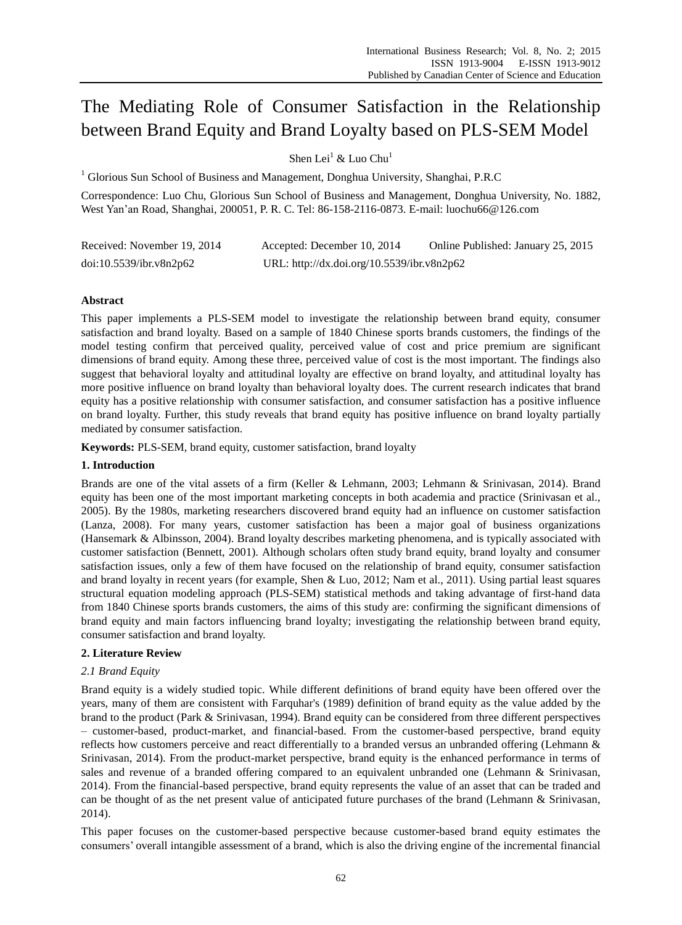# The Mediating Role of Consumer Satisfaction in the Relationship between Brand Equity and Brand Loyalty based on PLS-SEM Model

Shen Lei<sup>1</sup> & Luo Chu<sup>1</sup>

<sup>1</sup> Glorious Sun School of Business and Management, Donghua University, Shanghai, P.R.C

Correspondence: Luo Chu, Glorious Sun School of Business and Management, Donghua University, No. 1882, West Yan"an Road, Shanghai, 200051, P. R. C. Tel: 86-158-2116-0873. E-mail: luochu66@126.com

| Received: November 19, 2014 | Accepted: December 10, 2014                | Online Published: January 25, 2015 |
|-----------------------------|--------------------------------------------|------------------------------------|
| doi:10.5539/ibr.v8n2p62     | URL: http://dx.doi.org/10.5539/ibr.v8n2p62 |                                    |

# **Abstract**

This paper implements a PLS-SEM model to investigate the relationship between brand equity, consumer satisfaction and brand loyalty. Based on a sample of 1840 Chinese sports brands customers, the findings of the model testing confirm that perceived quality, perceived value of cost and price premium are significant dimensions of brand equity. Among these three, perceived value of cost is the most important. The findings also suggest that behavioral loyalty and attitudinal loyalty are effective on brand loyalty, and attitudinal loyalty has more positive influence on brand loyalty than behavioral loyalty does. The current research indicates that brand equity has a positive relationship with consumer satisfaction, and consumer satisfaction has a positive influence on brand loyalty. Further, this study reveals that brand equity has positive influence on brand loyalty partially mediated by consumer satisfaction.

**Keywords:** PLS-SEM, brand equity, customer satisfaction, brand loyalty

# **1. Introduction**

Brands are one of the vital assets of a firm (Keller & Lehmann, 2003; Lehmann & Srinivasan, 2014). Brand equity has been one of the most important marketing concepts in both academia and practice (Srinivasan et al., 2005). By the 1980s, marketing researchers discovered brand equity had an influence on customer satisfaction (Lanza, 2008). For many years, customer satisfaction has been a major goal of business organizations (Hansemark & Albinsson, 2004). Brand loyalty describes marketing phenomena, and is typically associated with customer satisfaction (Bennett, 2001). Although scholars often study brand equity, brand loyalty and consumer satisfaction issues, only a few of them have focused on the relationship of brand equity, consumer satisfaction and brand loyalty in recent years (for example, Shen & Luo, 2012; Nam et al., 2011). Using partial least squares structural equation modeling approach (PLS-SEM) statistical methods and taking advantage of first-hand data from 1840 Chinese sports brands customers, the aims of this study are: confirming the significant dimensions of brand equity and main factors influencing brand loyalty; investigating the relationship between brand equity, consumer satisfaction and brand loyalty.

# **2. Literature Review**

# *2.1 Brand Equity*

Brand equity is a widely studied topic. While different definitions of brand equity have been offered over the years, many of them are consistent with Farquhar's (1989) definition of brand equity as the value added by the brand to the product (Park & Srinivasan, 1994). Brand equity can be considered from three different perspectives – customer-based, product-market, and financial-based. From the customer-based perspective, brand equity reflects how customers perceive and react differentially to a branded versus an unbranded offering (Lehmann & Srinivasan, 2014). From the product-market perspective, brand equity is the enhanced performance in terms of sales and revenue of a branded offering compared to an equivalent unbranded one (Lehmann & Srinivasan, 2014). From the financial-based perspective, brand equity represents the value of an asset that can be traded and can be thought of as the net present value of anticipated future purchases of the brand (Lehmann & Srinivasan, 2014).

This paper focuses on the customer-based perspective because customer-based brand equity estimates the consumers" overall intangible assessment of a brand, which is also the driving engine of the incremental financial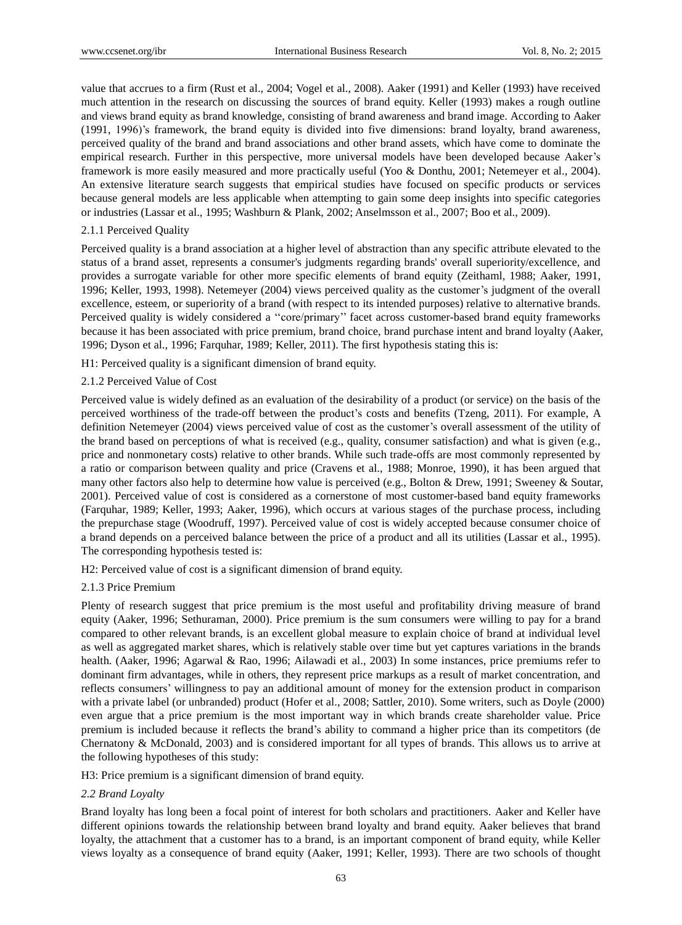value that accrues to a firm (Rust et al., 2004; Vogel et al., 2008). Aaker (1991) and Keller (1993) have received much attention in the research on discussing the sources of brand equity. Keller (1993) makes a rough outline and views brand equity as brand knowledge, consisting of brand awareness and brand image. According to Aaker (1991, 1996)"s framework, the brand equity is divided into five dimensions: brand loyalty, brand awareness, perceived quality of the brand and brand associations and other brand assets, which have come to dominate the empirical research. Further in this perspective, more universal models have been developed because Aaker"s framework is more easily measured and more practically useful (Yoo & Donthu, 2001; Netemeyer et al., 2004). An extensive literature search suggests that empirical studies have focused on specific products or services because general models are less applicable when attempting to gain some deep insights into specific categories or industries (Lassar et al., 1995; Washburn & Plank, 2002; Anselmsson et al., 2007; Boo et al., 2009).

# 2.1.1 Perceived Quality

Perceived quality is a brand association at a higher level of abstraction than any specific attribute elevated to the status of a brand asset, represents a consumer's judgments regarding brands' overall superiority/excellence, and provides a surrogate variable for other more specific elements of brand equity (Zeithaml, 1988; Aaker, 1991, 1996; Keller, 1993, 1998). Netemeyer (2004) views perceived quality as the customer"s judgment of the overall excellence, esteem, or superiority of a brand (with respect to its intended purposes) relative to alternative brands. Perceived quality is widely considered a "core/primary" facet across customer-based brand equity frameworks because it has been associated with price premium, brand choice, brand purchase intent and brand loyalty (Aaker, 1996; Dyson et al., 1996; Farquhar, 1989; Keller, 2011). The first hypothesis stating this is:

H1: Perceived quality is a significant dimension of brand equity.

# 2.1.2 Perceived Value of Cost

Perceived value is widely defined as an evaluation of the desirability of a product (or service) on the basis of the perceived worthiness of the trade-off between the product"s costs and benefits (Tzeng, 2011). For example, A definition Netemeyer (2004) views perceived value of cost as the customer"s overall assessment of the utility of the brand based on perceptions of what is received (e.g., quality, consumer satisfaction) and what is given (e.g., price and nonmonetary costs) relative to other brands. While such trade-offs are most commonly represented by a ratio or comparison between quality and price (Cravens et al., 1988; Monroe, 1990), it has been argued that many other factors also help to determine how value is perceived (e.g., Bolton & Drew, 1991; Sweeney & Soutar, 2001). Perceived value of cost is considered as a cornerstone of most customer-based band equity frameworks (Farquhar, 1989; Keller, 1993; Aaker, 1996), which occurs at various stages of the purchase process, including the prepurchase stage (Woodruff, 1997). Perceived value of cost is widely accepted because consumer choice of a brand depends on a perceived balance between the price of a product and all its utilities (Lassar et al., 1995). The corresponding hypothesis tested is:

H2: Perceived value of cost is a significant dimension of brand equity.

# 2.1.3 Price Premium

Plenty of research suggest that price premium is the most useful and profitability driving measure of brand equity (Aaker, 1996; Sethuraman, 2000). Price premium is the sum consumers were willing to pay for a brand compared to other relevant brands, is an excellent global measure to explain choice of brand at individual level as well as aggregated market shares, which is relatively stable over time but yet captures variations in the brands health. (Aaker, 1996; Agarwal & Rao, 1996; Ailawadi et al., 2003) In some instances, price premiums refer to dominant firm advantages, while in others, they represent price markups as a result of market concentration, and reflects consumers" willingness to pay an additional amount of money for the extension product in comparison with a private label (or unbranded) product (Hofer et al., 2008; Sattler, 2010). Some writers, such as Doyle (2000) even argue that a price premium is the most important way in which brands create shareholder value. Price premium is included because it reflects the brand"s ability to command a higher price than its competitors (de Chernatony & McDonald, 2003) and is considered important for all types of brands. This allows us to arrive at the following hypotheses of this study:

H3: Price premium is a significant dimension of brand equity.

# *2.2 Brand Loyalty*

Brand loyalty has long been a focal point of interest for both scholars and practitioners. Aaker and Keller have different opinions towards the relationship between brand loyalty and brand equity. Aaker believes that brand loyalty, the attachment that a customer has to a brand, is an important component of brand equity, while Keller views loyalty as a consequence of brand equity (Aaker, 1991; Keller, 1993). There are two schools of thought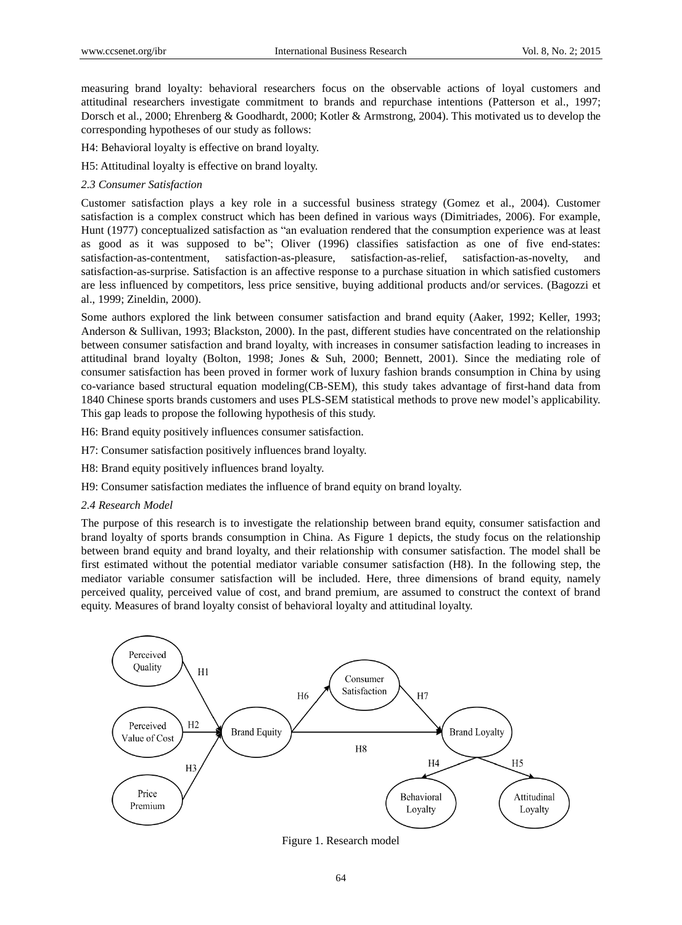measuring brand loyalty: behavioral researchers focus on the observable actions of loyal customers and attitudinal researchers investigate commitment to brands and repurchase intentions (Patterson et al., 1997; Dorsch et al., 2000; Ehrenberg & Goodhardt, 2000; Kotler & Armstrong, 2004). This motivated us to develop the corresponding hypotheses of our study as follows:

H4: Behavioral loyalty is effective on brand loyalty.

H5: Attitudinal loyalty is effective on brand loyalty.

## *2.3 Consumer Satisfaction*

Customer satisfaction plays a key role in a successful business strategy (Gomez et al., 2004). Customer satisfaction is a complex construct which has been defined in various ways (Dimitriades, 2006). For example, Hunt (1977) conceptualized satisfaction as "an evaluation rendered that the consumption experience was at least as good as it was supposed to be"; Oliver (1996) classifies satisfaction as one of five end-states: satisfaction-as-contentment, satisfaction-as-pleasure, satisfaction-as-relief, satisfaction-as-novelty, and satisfaction-as-surprise. Satisfaction is an affective response to a purchase situation in which satisfied customers are less influenced by competitors, less price sensitive, buying additional products and/or services. (Bagozzi et al., 1999; Zineldin, 2000).

Some authors explored the link between consumer satisfaction and brand equity (Aaker, 1992; Keller, 1993; Anderson & Sullivan, 1993; Blackston, 2000). In the past, different studies have concentrated on the relationship between consumer satisfaction and brand loyalty, with increases in consumer satisfaction leading to increases in attitudinal brand loyalty (Bolton, 1998; Jones & Suh, 2000; Bennett, 2001). Since the mediating role of consumer satisfaction has been proved in former work of luxury fashion brands consumption in China by using co-variance based structural equation modeling(CB-SEM), this study takes advantage of first-hand data from 1840 Chinese sports brands customers and uses PLS-SEM statistical methods to prove new model"s applicability. This gap leads to propose the following hypothesis of this study.

H6: Brand equity positively influences consumer satisfaction.

H7: Consumer satisfaction positively influences brand loyalty.

H8: Brand equity positively influences brand loyalty.

H9: Consumer satisfaction mediates the influence of brand equity on brand loyalty.

### *2.4 Research Model*

The purpose of this research is to investigate the relationship between brand equity, consumer satisfaction and brand loyalty of sports brands consumption in China. As Figure 1 depicts, the study focus on the relationship between brand equity and brand loyalty, and their relationship with consumer satisfaction. The model shall be first estimated without the potential mediator variable consumer satisfaction (H8). In the following step, the mediator variable consumer satisfaction will be included. Here, three dimensions of brand equity, namely perceived quality, perceived value of cost, and brand premium, are assumed to construct the context of brand equity. Measures of brand loyalty consist of behavioral loyalty and attitudinal loyalty.



Figure 1. Research model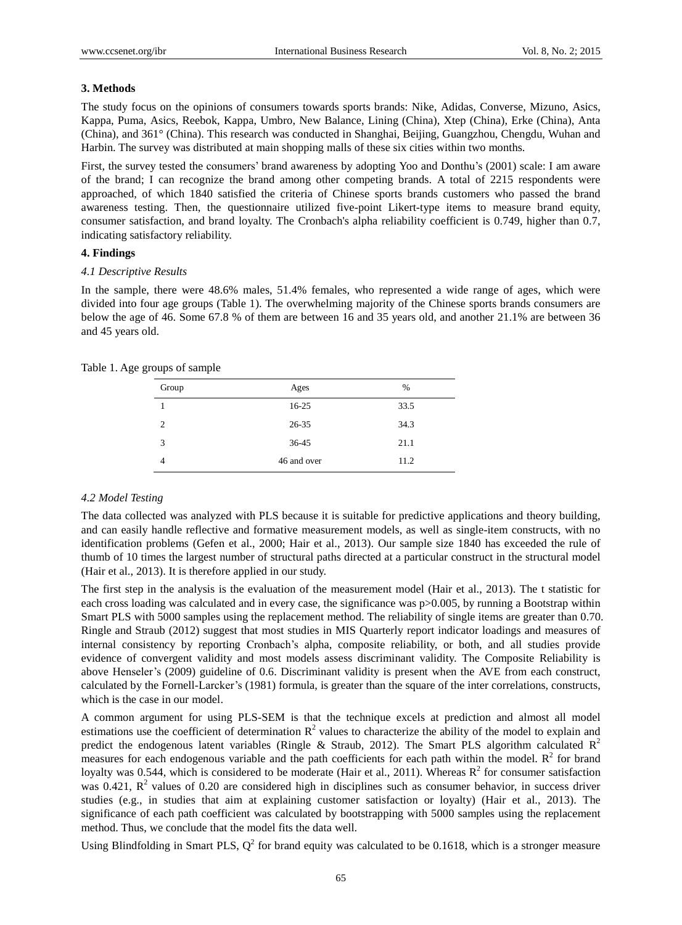## **3. Methods**

The study focus on the opinions of consumers towards sports brands: Nike, Adidas, Converse, Mizuno, Asics, Kappa, Puma, Asics, Reebok, Kappa, Umbro, New Balance, Lining (China), Xtep (China), Erke (China), Anta (China), and 361°(China). This research was conducted in Shanghai, Beijing, Guangzhou, Chengdu, Wuhan and Harbin. The survey was distributed at main shopping malls of these six cities within two months.

First, the survey tested the consumers' brand awareness by adopting Yoo and Donthu's (2001) scale: I am aware of the brand; I can recognize the brand among other competing brands. A total of 2215 respondents were approached, of which 1840 satisfied the criteria of Chinese sports brands customers who passed the brand awareness testing. Then, the questionnaire utilized five-point Likert-type items to measure brand equity, consumer satisfaction, and brand loyalty. The Cronbach's alpha reliability coefficient is 0.749, higher than 0.7, indicating satisfactory reliability.

## **4. Findings**

### *4.1 Descriptive Results*

In the sample, there were 48.6% males, 51.4% females, who represented a wide range of ages, which were divided into four age groups (Table 1). The overwhelming majority of the Chinese sports brands consumers are below the age of 46. Some 67.8 % of them are between 16 and 35 years old, and another 21.1% are between 36 and 45 years old.

| Group | Ages        | %    |
|-------|-------------|------|
|       | 16-25       | 33.5 |
| 2     | 26-35       | 34.3 |
| 3     | 36-45       | 21.1 |
|       | 46 and over | 11.2 |
|       |             |      |

Table 1. Age groups of sample

# *4.2 Model Testing*

The data collected was analyzed with PLS because it is suitable for predictive applications and theory building, and can easily handle reflective and formative measurement models, as well as single-item constructs, with no identification problems (Gefen et al., 2000; Hair et al., 2013). Our sample size 1840 has exceeded the rule of thumb of 10 times the largest number of structural paths directed at a particular construct in the structural model (Hair et al., 2013). It is therefore applied in our study.

The first step in the analysis is the evaluation of the measurement model (Hair et al., 2013). The t statistic for each cross loading was calculated and in every case, the significance was p > 0.005, by running a Bootstrap within Smart PLS with 5000 samples using the replacement method. The reliability of single items are greater than 0.70. Ringle and Straub (2012) suggest that most studies in MIS Quarterly report indicator loadings and measures of internal consistency by reporting Cronbach's alpha, composite reliability, or both, and all studies provide evidence of convergent validity and most models assess discriminant validity. The Composite Reliability is above Henseler"s (2009) guideline of 0.6. Discriminant validity is present when the AVE from each construct, calculated by the Fornell-Larcker"s (1981) formula, is greater than the square of the inter correlations, constructs, which is the case in our model.

A common argument for using PLS-SEM is that the technique excels at prediction and almost all model estimations use the coefficient of determination  $R^2$  values to characterize the ability of the model to explain and predict the endogenous latent variables (Ringle & Straub, 2012). The Smart PLS algorithm calculated  $R^2$ measures for each endogenous variable and the path coefficients for each path within the model.  $R^2$  for brand loyalty was 0.544, which is considered to be moderate (Hair et al., 2011). Whereas  $R^2$  for consumer satisfaction was 0.421,  $R^2$  values of 0.20 are considered high in disciplines such as consumer behavior, in success driver studies (e.g., in studies that aim at explaining customer satisfaction or loyalty) (Hair et al., 2013). The significance of each path coefficient was calculated by bootstrapping with 5000 samples using the replacement method. Thus, we conclude that the model fits the data well.

Using Blindfolding in Smart PLS,  $Q^2$  for brand equity was calculated to be 0.1618, which is a stronger measure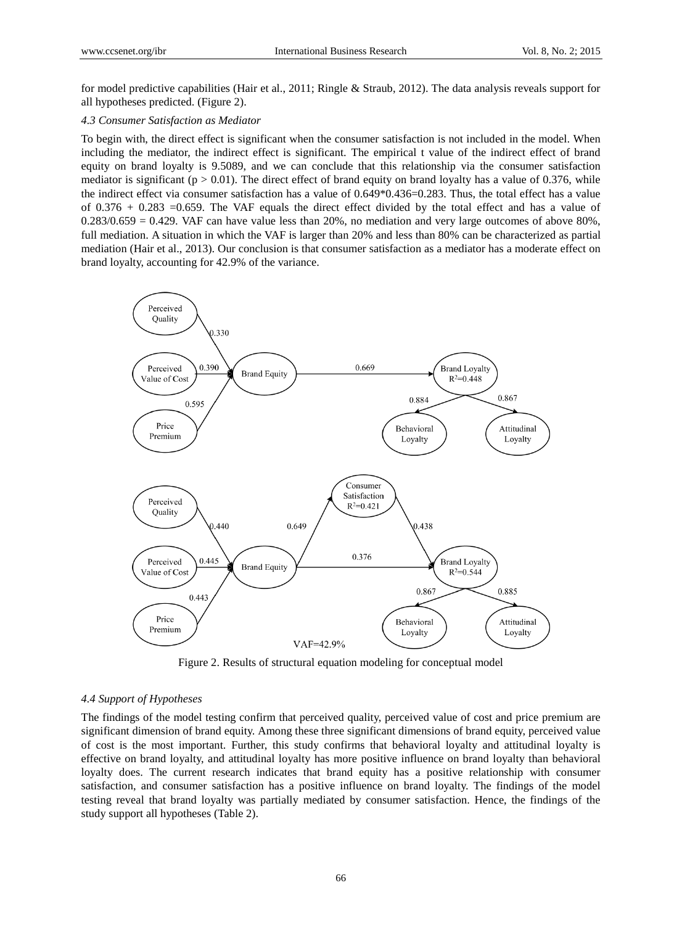for model predictive capabilities (Hair et al., 2011; Ringle & Straub, 2012). The data analysis reveals support for all hypotheses predicted. (Figure 2).

# *4.3 Consumer Satisfaction as Mediator*

To begin with, the direct effect is significant when the consumer satisfaction is not included in the model. When including the mediator, the indirect effect is significant. The empirical t value of the indirect effect of brand equity on brand loyalty is 9.5089, and we can conclude that this relationship via the consumer satisfaction mediator is significant ( $p > 0.01$ ). The direct effect of brand equity on brand loyalty has a value of 0.376, while the indirect effect via consumer satisfaction has a value of 0.649\*0.436=0.283. Thus, the total effect has a value of  $0.376 + 0.283 = 0.659$ . The VAF equals the direct effect divided by the total effect and has a value of  $0.283/0.659 = 0.429$ . VAF can have value less than 20%, no mediation and very large outcomes of above 80%, full mediation. A situation in which the VAF is larger than 20% and less than 80% can be characterized as partial mediation (Hair et al., 2013). Our conclusion is that consumer satisfaction as a mediator has a moderate effect on brand loyalty, accounting for 42.9% of the variance.



Figure 2. Results of structural equation modeling for conceptual model

## *4.4 Support of Hypotheses*

The findings of the model testing confirm that perceived quality, perceived value of cost and price premium are significant dimension of brand equity. Among these three significant dimensions of brand equity, perceived value of cost is the most important. Further, this study confirms that behavioral loyalty and attitudinal loyalty is effective on brand loyalty, and attitudinal loyalty has more positive influence on brand loyalty than behavioral loyalty does. The current research indicates that brand equity has a positive relationship with consumer satisfaction, and consumer satisfaction has a positive influence on brand loyalty. The findings of the model testing reveal that brand loyalty was partially mediated by consumer satisfaction. Hence, the findings of the study support all hypotheses (Table 2).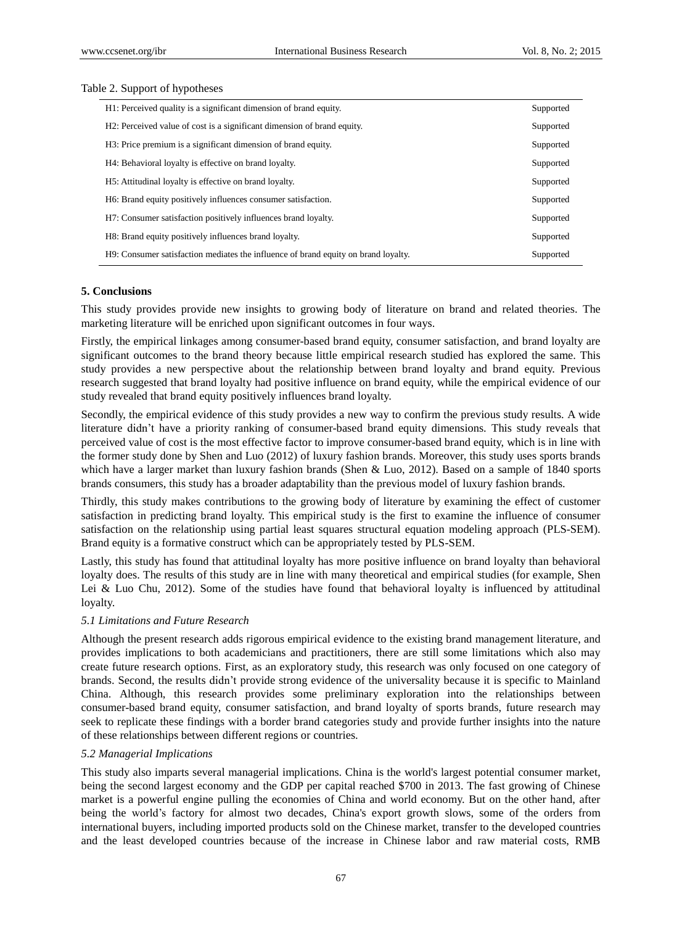#### Table 2. Support of hypotheses

| H1: Perceived quality is a significant dimension of brand equity.                  |           |
|------------------------------------------------------------------------------------|-----------|
| H2: Perceived value of cost is a significant dimension of brand equity.            | Supported |
| H <sub>3</sub> : Price premium is a significant dimension of brand equity.         | Supported |
| H4: Behavioral loyalty is effective on brand loyalty.                              | Supported |
| H <sub>5</sub> : Attitudinal loyalty is effective on brand loyalty.                | Supported |
| H6: Brand equity positively influences consumer satisfaction.                      | Supported |
| H7: Consumer satisfaction positively influences brand loyalty.                     | Supported |
| H8: Brand equity positively influences brand loyalty.                              | Supported |
| H9: Consumer satisfaction mediates the influence of brand equity on brand loyalty. | Supported |

#### **5. Conclusions**

This study provides provide new insights to growing body of literature on brand and related theories. The marketing literature will be enriched upon significant outcomes in four ways.

Firstly, the empirical linkages among consumer-based brand equity, consumer satisfaction, and brand loyalty are significant outcomes to the brand theory because little empirical research studied has explored the same. This study provides a new perspective about the relationship between brand loyalty and brand equity. Previous research suggested that brand loyalty had positive influence on brand equity, while the empirical evidence of our study revealed that brand equity positively influences brand loyalty.

Secondly, the empirical evidence of this study provides a new way to confirm the previous study results. A wide literature didn"t have a priority ranking of consumer-based brand equity dimensions. This study reveals that perceived value of cost is the most effective factor to improve consumer-based brand equity, which is in line with the former study done by Shen and Luo (2012) of luxury fashion brands. Moreover, this study uses sports brands which have a larger market than luxury fashion brands (Shen & Luo, 2012). Based on a sample of 1840 sports brands consumers, this study has a broader adaptability than the previous model of luxury fashion brands.

Thirdly, this study makes contributions to the growing body of literature by examining the effect of customer satisfaction in predicting brand loyalty. This empirical study is the first to examine the influence of consumer satisfaction on the relationship using partial least squares structural equation modeling approach (PLS-SEM). Brand equity is a formative construct which can be appropriately tested by PLS-SEM.

Lastly, this study has found that attitudinal loyalty has more positive influence on brand loyalty than behavioral loyalty does. The results of this study are in line with many theoretical and empirical studies (for example, Shen Lei & Luo Chu, 2012). Some of the studies have found that behavioral loyalty is influenced by attitudinal loyalty.

## *5.1 Limitations and Future Research*

Although the present research adds rigorous empirical evidence to the existing brand management literature, and provides implications to both academicians and practitioners, there are still some limitations which also may create future research options. First, as an exploratory study, this research was only focused on one category of brands. Second, the results didn"t provide strong evidence of the universality because it is specific to Mainland China. Although, this research provides some preliminary exploration into the relationships between consumer-based brand equity, consumer satisfaction, and brand loyalty of sports brands, future research may seek to replicate these findings with a border brand categories study and provide further insights into the nature of these relationships between different regions or countries.

#### *5.2 Managerial Implications*

This study also imparts several managerial implications. China is the world's largest potential consumer market, being the second largest economy and the GDP per capital reached \$700 in 2013. The fast growing of Chinese market is a powerful engine pulling the economies of China and world economy. But on the other hand, after being the world"s factory for almost two decades, China's export growth slows, some of the orders from international buyers, including imported products sold on the Chinese market, transfer to the developed countries and the least developed countries because of the increase in Chinese labor and raw material costs, RMB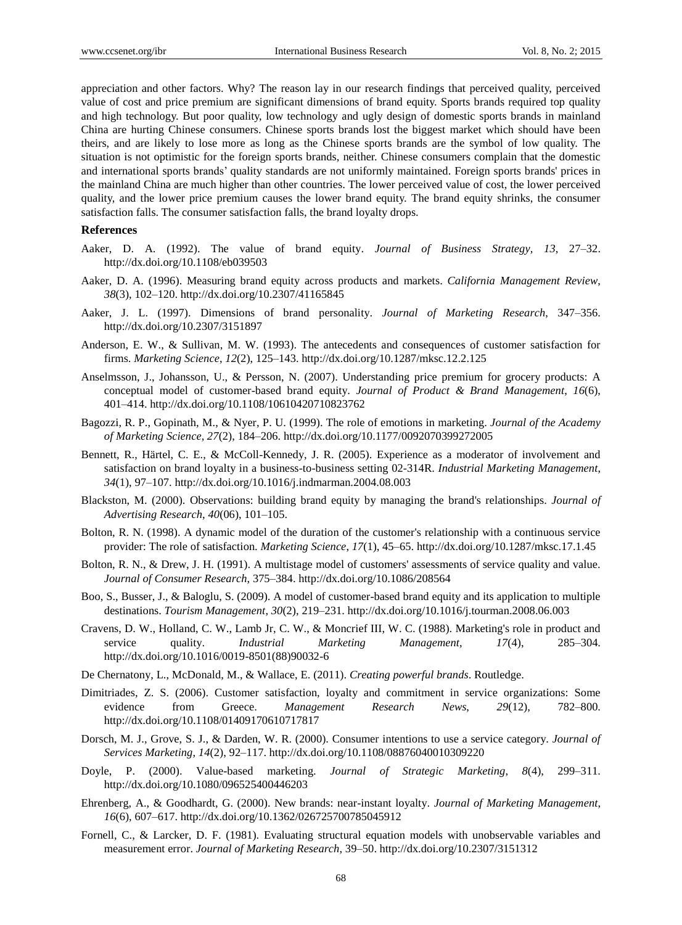appreciation and other factors. Why? The reason lay in our research findings that perceived quality, perceived value of cost and price premium are significant dimensions of brand equity. Sports brands required top quality and high technology. But poor quality, low technology and ugly design of domestic sports brands in mainland China are hurting Chinese consumers. Chinese sports brands lost the biggest market which should have been theirs, and are likely to lose more as long as the Chinese sports brands are the symbol of low quality. The situation is not optimistic for the foreign sports brands, neither. Chinese consumers complain that the domestic and international sports brands" quality standards are not uniformly maintained. Foreign sports brands' prices in the mainland China are much higher than other countries. The lower perceived value of cost, the lower perceived quality, and the lower price premium causes the lower brand equity. The brand equity shrinks, the consumer satisfaction falls. The consumer satisfaction falls, the brand loyalty drops.

#### **References**

- Aaker, D. A. (1992). The value of brand equity. *Journal of Business Strategy, 13*, 27–32. http://dx.doi.org/10.1108/eb039503
- Aaker, D. A. (1996). Measuring brand equity across products and markets. *California Management Review*, *38*(3), 102–120. http://dx.doi.org/10.2307/41165845
- Aaker, J. L. (1997). Dimensions of brand personality. *Journal of Marketing Research*, 347–356. http://dx.doi.org/10.2307/3151897
- Anderson, E. W., & Sullivan, M. W. (1993). The antecedents and consequences of customer satisfaction for firms. *Marketing Science*, *12*(2), 125–143. http://dx.doi.org/10.1287/mksc.12.2.125
- Anselmsson, J., Johansson, U., & Persson, N. (2007). Understanding price premium for grocery products: A conceptual model of customer-based brand equity. *Journal of Product & Brand Management*, *16*(6), 401–414. http://dx.doi.org/10.1108/10610420710823762
- Bagozzi, R. P., Gopinath, M., & Nyer, P. U. (1999). The role of emotions in marketing. *Journal of the Academy of Marketing Science, 27*(2), 184–206. http://dx.doi.org/10.1177/0092070399272005
- Bennett, R., Härtel, C. E., & McColl-Kennedy, J. R. (2005). Experience as a moderator of involvement and satisfaction on brand loyalty in a business-to-business setting 02-314R. *Industrial Marketing Management*, *34*(1), 97–107. http://dx.doi.org/10.1016/j.indmarman.2004.08.003
- Blackston, M. (2000). Observations: building brand equity by managing the brand's relationships. *Journal of Advertising Research*, *40*(06), 101–105.
- Bolton, R. N. (1998). A dynamic model of the duration of the customer's relationship with a continuous service provider: The role of satisfaction. *Marketing Science*, *17*(1), 45–65. http://dx.doi.org/10.1287/mksc.17.1.45
- Bolton, R. N., & Drew, J. H. (1991). A multistage model of customers' assessments of service quality and value. *Journal of Consumer Research*, 375–384. http://dx.doi.org/10.1086/208564
- Boo, S., Busser, J., & Baloglu, S. (2009). A model of customer-based brand equity and its application to multiple destinations. *Tourism Management*, *30*(2), 219–231. http://dx.doi.org/10.1016/j.tourman.2008.06.003
- Cravens, D. W., Holland, C. W., Lamb Jr, C. W., & Moncrief III, W. C. (1988). Marketing's role in product and service quality. *Industrial Marketing Management*, *17*(4), 285–304. http://dx.doi.org/10.1016/0019-8501(88)90032-6
- De Chernatony, L., McDonald, M., & Wallace, E. (2011). *Creating powerful brands*. Routledge.
- Dimitriades, Z. S. (2006). Customer satisfaction, loyalty and commitment in service organizations: Some evidence from Greece. *Management Research News*, *29*(12), 782–800. http://dx.doi.org/10.1108/01409170610717817
- Dorsch, M. J., Grove, S. J., & Darden, W. R. (2000). Consumer intentions to use a service category. *Journal of Services Marketing*, *14*(2), 92–117. http://dx.doi.org/10.1108/08876040010309220
- Doyle, P. (2000). Value-based marketing. *Journal of Strategic Marketing*, *8*(4), 299–311. http://dx.doi.org/10.1080/096525400446203
- Ehrenberg, A., & Goodhardt, G. (2000). New brands: near-instant loyalty. *Journal of Marketing Management*, *16*(6), 607–617. http://dx.doi.org/10.1362/026725700785045912
- Fornell, C., & Larcker, D. F. (1981). Evaluating structural equation models with unobservable variables and measurement error. *Journal of Marketing Research*, 39–50. http://dx.doi.org/10.2307/3151312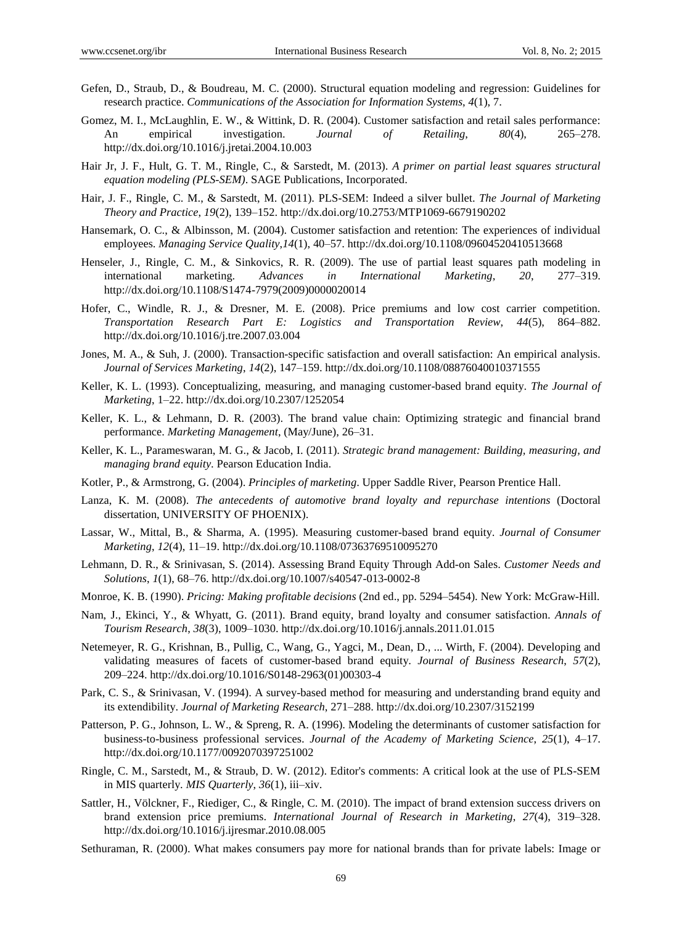- Gefen, D., Straub, D., & Boudreau, M. C. (2000). Structural equation modeling and regression: Guidelines for research practice. *Communications of the Association for Information Systems*, *4*(1), 7.
- Gomez, M. I., McLaughlin, E. W., & Wittink, D. R. (2004). Customer satisfaction and retail sales performance: An empirical investigation. *Journal of Retailing*, *80*(4), 265–278. http://dx.doi.org/10.1016/j.jretai.2004.10.003
- Hair Jr, J. F., Hult, G. T. M., Ringle, C., & Sarstedt, M. (2013). *A primer on partial least squares structural equation modeling (PLS-SEM)*. SAGE Publications, Incorporated.
- Hair, J. F., Ringle, C. M., & Sarstedt, M. (2011). PLS-SEM: Indeed a silver bullet. *The Journal of Marketing Theory and Practice*, *19*(2), 139–152. http://dx.doi.org/10.2753/MTP1069-6679190202
- Hansemark, O. C., & Albinsson, M. (2004). Customer satisfaction and retention: The experiences of individual employees. *Managing Service Quality*,*14*(1), 40–57. http://dx.doi.org/10.1108/09604520410513668
- Henseler, J., Ringle, C. M., & Sinkovics, R. R. (2009). The use of partial least squares path modeling in international marketing. *Advances in International Marketing*, *20*, 277–319. http://dx.doi.org/10.1108/S1474-7979(2009)0000020014
- Hofer, C., Windle, R. J., & Dresner, M. E. (2008). Price premiums and low cost carrier competition. *Transportation Research Part E: Logistics and Transportation Review*, *44*(5), 864–882. http://dx.doi.org/10.1016/j.tre.2007.03.004
- Jones, M. A., & Suh, J. (2000). Transaction-specific satisfaction and overall satisfaction: An empirical analysis. *Journal of Services Marketing*, *14*(2), 147–159. http://dx.doi.org/10.1108/08876040010371555
- Keller, K. L. (1993). Conceptualizing, measuring, and managing customer-based brand equity. *The Journal of Marketing*, 1–22. http://dx.doi.org/10.2307/1252054
- Keller, K. L., & Lehmann, D. R. (2003). The brand value chain: Optimizing strategic and financial brand performance. *Marketing Management*, (May/June), 26–31.
- Keller, K. L., Parameswaran, M. G., & Jacob, I. (2011). *Strategic brand management: Building, measuring, and managing brand equity*. Pearson Education India.
- Kotler, P., & Armstrong, G. (2004). *Principles of marketing*. Upper Saddle River, Pearson Prentice Hall.
- Lanza, K. M. (2008). *The antecedents of automotive brand loyalty and repurchase intentions* (Doctoral dissertation, UNIVERSITY OF PHOENIX).
- Lassar, W., Mittal, B., & Sharma, A. (1995). Measuring customer-based brand equity. *Journal of Consumer Marketing*, *12*(4), 11–19. http://dx.doi.org/10.1108/07363769510095270
- Lehmann, D. R., & Srinivasan, S. (2014). Assessing Brand Equity Through Add-on Sales. *Customer Needs and Solutions*, *1*(1), 68–76. http://dx.doi.org/10.1007/s40547-013-0002-8
- Monroe, K. B. (1990). *Pricing: Making profitable decisions* (2nd ed., pp. 5294–5454). New York: McGraw-Hill.
- Nam, J., Ekinci, Y., & Whyatt, G. (2011). Brand equity, brand loyalty and consumer satisfaction. *Annals of Tourism Research*, *38*(3), 1009–1030. http://dx.doi.org/10.1016/j.annals.2011.01.015
- Netemeyer, R. G., Krishnan, B., Pullig, C., Wang, G., Yagci, M., Dean, D., ... Wirth, F. (2004). Developing and validating measures of facets of customer-based brand equity. *Journal of Business Research*, *57*(2), 209–224. http://dx.doi.org/10.1016/S0148-2963(01)00303-4
- Park, C. S., & Srinivasan, V. (1994). A survey-based method for measuring and understanding brand equity and its extendibility. *Journal of Marketing Research*, 271–288. http://dx.doi.org/10.2307/3152199
- Patterson, P. G., Johnson, L. W., & Spreng, R. A. (1996). Modeling the determinants of customer satisfaction for business-to-business professional services. *Journal of the Academy of Marketing Science*, *25*(1), 4–17. http://dx.doi.org/10.1177/0092070397251002
- Ringle, C. M., Sarstedt, M., & Straub, D. W. (2012). Editor's comments: A critical look at the use of PLS-SEM in MIS quarterly. *MIS Quarterly*, *36*(1), iii–xiv.
- Sattler, H., Völckner, F., Riediger, C., & Ringle, C. M. (2010). The impact of brand extension success drivers on brand extension price premiums. *International Journal of Research in Marketing*, *27*(4), 319–328. http://dx.doi.org/10.1016/j.ijresmar.2010.08.005
- Sethuraman, R. (2000). What makes consumers pay more for national brands than for private labels: Image or